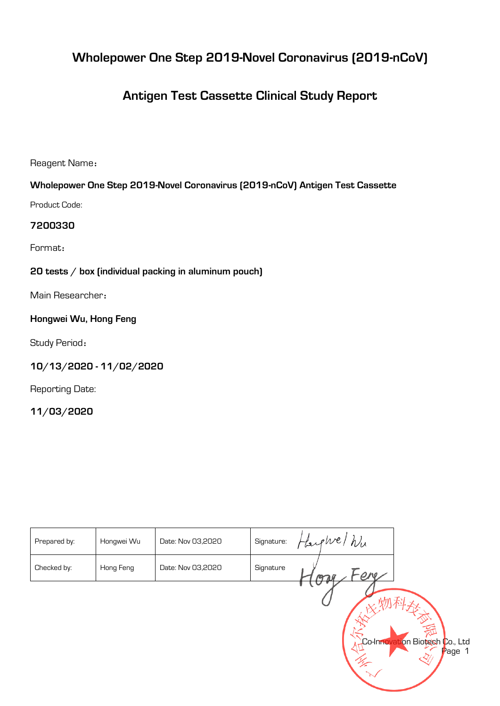# **Wholepower One Step 2019-Novel Coronavirus (2019-nCoV)**

# **Antigen Test Cassette Clinical Study Report**

**Reagent Name**:

# **Wholepower One Step 2019-Novel Coronavirus (2019-nCoV) Antigen Test Cassette**

**Product Code:** 

## **7200330**

**Format**:

## **20 tests / box (individual packing in aluminum pouch)**

**Main Researcher**:

## **Hongwei Wu, Hong Feng**

**Study Period**:

# **10/13/2020 - 11/02/2020**

**Reporting Date:** 

**11/03/2020**

| Prepared by: | Hongwei Wu | Date: Nov 03,2020 | Signature: | hu<br>Harphre1 |                                          |
|--------------|------------|-------------------|------------|----------------|------------------------------------------|
| Checked by:  | Hong Feng  | Date: Nov 03,2020 | Signature  | ON.<br>mal     |                                          |
|              |            |                   |            |                |                                          |
|              |            |                   |            |                |                                          |
|              |            |                   |            |                | Co-Innovation Biotech Co., Ltd<br>Page 1 |
|              |            |                   |            |                |                                          |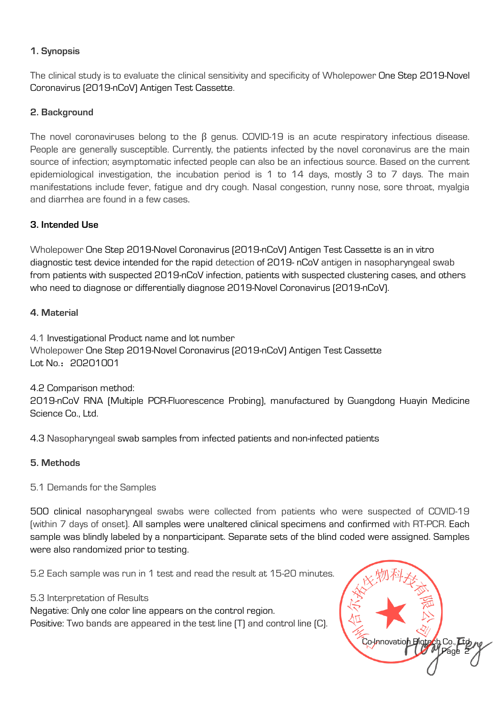### **1. Synopsis**

**The clinical study is to evaluate the clinical sensitivity and specificity of Wholepower One Step 2019-Novel Coronavirus (2019-nCoV) Antigen Test Cassette.**

## **2. Background**

**The novel coronaviruses belong to the** β **genus. COVID-19 is an acute respiratory infectious disease. People are generally susceptible. Currently, the patients infected by the novel coronavirus are the main source of infection; asymptomatic infected people can also be an infectious source. Based on the current epidemiological investigation, the incubation period is 1 to 14 days, mostly 3 to 7 days. The main manifestations include fever, fatigue and dry cough. Nasal congestion, runny nose, sore throat, myalgia and diarrhea are found in a few cases.**

#### **3. Intended Use**

**Wholepower One Step 2019-Novel Coronavirus (2019-nCoV) Antigen Test Cassette is an in vitro diagnostic test device intended for the rapid detection of 2019- nCoV antigen in nasopharyngeal swab from patients with suspected 2019-nCoV infection, patients with suspected clustering cases, and others who need to diagnose or differentially diagnose 2019-Novel Coronavirus (2019-nCoV).**

#### **4. Material**

**4.1 Investigational Product name and lot number Wholepower One Step 2019-Novel Coronavirus (2019-nCoV) Antigen Test Cassette Lot No.**:**20201001**

**4.2 Comparison method:** 

**2019-nCoV RNA (Multiple PCR-Fluorescence Probing), manufactured by Guangdong Huayin Medicine Science Co., Ltd.**

**4.3 Nasopharyngeal swab samples from infected patients and non-infected patients**

## **5. Methods**

**5.1 Demands for the Samples**

**500 clinical nasopharyngeal swabs were collected from patients who were suspected of COVID-19 (within 7 days of onset). All samples were unaltered clinical specimens and confirmed with RT-PCR. Each sample was blindly labeled by a nonparticipant. Separate sets of the blind coded were assigned. Samples were also randomized prior to testing.**

**5.2 Each sample was run in 1 test and read the result at 15-20 minutes.** 

#### **5.3 Interpretation of Results**

**Negative: Only one color line appears on the control region.**

**Positive: Two bands are appeared in the test line (T) and control line (C).**

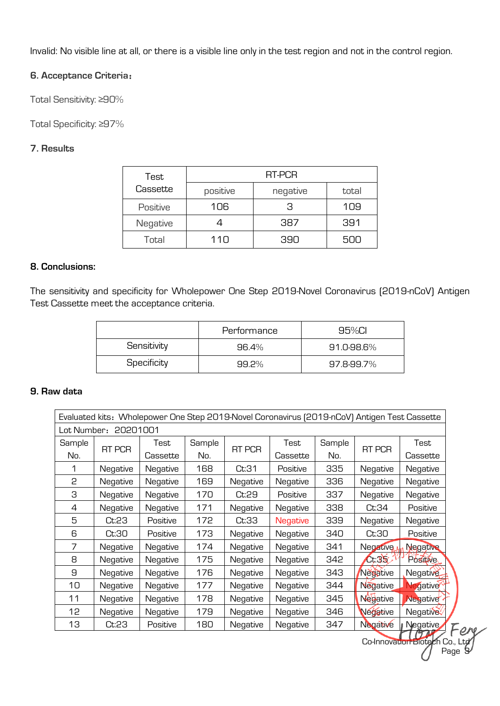**Invalid: No visible line at all, or there is a visible line only in the test region and not in the control region.** 

#### **6. Acceptance Criteria**:

**Total Sensitivity: ≥90%** 

**Total Specificity: ≥97%**

#### **7. Results**

| Test     | RT-PCR   |          |       |  |  |  |  |
|----------|----------|----------|-------|--|--|--|--|
| Cassette | positive | negative | total |  |  |  |  |
| Positive | 106      | З        | 109   |  |  |  |  |
| Negative |          | 387      | 391   |  |  |  |  |
| Total    | 11 N     | 390      | 500   |  |  |  |  |

#### **8. Conclusions:**

**The sensitivity and specificity for Wholepower One Step 2019-Novel Coronavirus (2019-nCoV) Antigen Test Cassette meet the acceptance criteria.** 

|             | Performance | 95%CL      |  |  |
|-------------|-------------|------------|--|--|
| Sensitivity | 96.4%       | 91.0-98.6% |  |  |
| Specificity | $99.2\%$    | 97.8-99.7% |  |  |

#### **9. Raw data**

| Evaluated kits: Wholepower One Step 2019-Novel Coronavirus (2019-nCoV) Antigen Test Cassette |               |          |     |          |                 |     |                     |                                       |  |      |
|----------------------------------------------------------------------------------------------|---------------|----------|-----|----------|-----------------|-----|---------------------|---------------------------------------|--|------|
| 20201001<br>Lot Number:                                                                      |               |          |     |          |                 |     |                     |                                       |  |      |
| Sample                                                                                       |               | Test     |     | Sample   |                 |     | Test                | Sample                                |  | Test |
| No.                                                                                          | <b>RT PCR</b> | Cassette | No. | RT PCR   | Cassette        | No. | RT PCR              | Cassette                              |  |      |
|                                                                                              | Negative      | Negative | 168 | Ct:31    | Positive        | 335 | Negative            | Negative                              |  |      |
| 2                                                                                            | Negative      | Negative | 169 | Negative | Negative        | 336 | Negative            | Negative                              |  |      |
| З                                                                                            | Negative      | Negative | 170 | Ct:29    | Positive        | 337 | Negative            | Negative                              |  |      |
| 4                                                                                            | Negative      | Negative | 171 | Negative | Negative        | 338 | Ct:34               | Positive                              |  |      |
| 5                                                                                            | Ct:23         | Positive | 172 | Ct:33    | <b>Negative</b> | 339 | Negative            | Negative                              |  |      |
| 6                                                                                            | Ct:30         | Positive | 173 | Negative | Negative        | 340 | Ct:30               | Positive                              |  |      |
| 7                                                                                            | Negative      | Negative | 174 | Negative | Negative        | 341 | Negative            | <b>Negative</b>                       |  |      |
| 8                                                                                            | Negative      | Negative | 175 | Negative | Negative        | 342 | $\mathsf{C}$ t $35$ | Positive                              |  |      |
| 9                                                                                            | Negative      | Negative | 176 | Negative | Negative        | 343 | Negative            | Negative                              |  |      |
| 10                                                                                           | Negative      | Negative | 177 | Negative | Negative        | 344 | <b>Negative</b>     | legative <sup>®</sup>                 |  |      |
| 11                                                                                           | Negative      | Negative | 178 | Negative | Negative        | 345 | <b>Neg</b> ative    | Negative                              |  |      |
| 12                                                                                           | Negative      | Negative | 179 | Negative | Negative        | 346 | Negative            | Negative                              |  |      |
| 13                                                                                           | Ct:23         | Positive | 180 | Negative | Negative        | 347 | Negative            | Negative<br>$\mathcal{I}_{\varOmega}$ |  |      |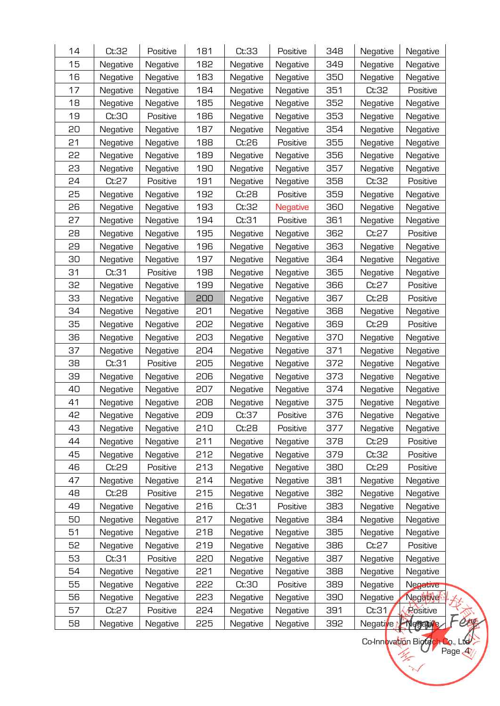| 14 | Ct:32    | Positive | 181 | Ct:33    | Positive        | 348 | Negative              | Negative  |
|----|----------|----------|-----|----------|-----------------|-----|-----------------------|-----------|
| 15 | Negative | Negative | 182 | Negative | Negative        | 349 | Negative              | Negative  |
| 16 | Negative | Negative | 183 | Negative | Negative        | 350 | Negative              | Negative  |
| 17 | Negative | Negative | 184 | Negative | Negative        | 351 | Ct:32                 | Positive  |
| 18 | Negative | Negative | 185 | Negative | Negative        | 352 | Negative              | Negative  |
| 19 | Ct:30    | Positive | 186 | Negative | Negative        | 353 | Negative              | Negative  |
| 50 | Negative | Negative | 187 | Negative | Negative        | 354 | Negative              | Negative  |
| 21 | Negative | Negative | 188 | Ct:26    | Positive        | 355 | Negative              | Negative  |
| 55 | Negative | Negative | 189 | Negative | Negative        | 356 | Negative              | Negative  |
| 53 | Negative | Negative | 190 | Negative | Negative        | 357 | Negative              | Negative  |
| 24 | Ct:27    | Positive | 191 | Negative | Negative        | 358 | Ct:32                 | Positive  |
| 25 | Negative | Negative | 192 | Ct:28    | Positive        | 359 | Negative              | Negative  |
| 26 | Negative | Negative | 193 | Ct:32    | <b>Negative</b> | 360 | Negative              | Negative  |
| 27 | Negative | Negative | 194 | Ct:31    | Positive        | 361 | Negative              | Negative  |
| 28 | Negative | Negative | 195 | Negative | Negative        | 362 | Ct:27                 | Positive  |
| 29 | Negative | Negative | 196 | Negative | Negative        | 363 | Negative              | Negative  |
| 30 | Negative | Negative | 197 | Negative | Negative        | 364 | Negative              | Negative  |
| 31 | Ct:31    | Positive | 198 | Negative | Negative        | 365 | Negative              | Negative  |
| 32 | Negative | Negative | 199 | Negative | Negative        | 366 | Ct:27                 | Positive  |
| 33 | Negative | Negative | 200 | Negative | Negative        | 367 | Ct:28                 | Positive  |
| 34 | Negative | Negative | 201 | Negative | Negative        | 368 | Negative              | Negative  |
| 35 | Negative | Negative | 202 | Negative | Negative        | 369 | Ct:29                 | Positive  |
| 36 | Negative | Negative | 203 | Negative | Negative        | 370 | Negative              | Negative  |
| 37 | Negative | Negative | 204 | Negative | Negative        | 371 | Negative              | Negative  |
| 38 | Ct:31    | Positive | 205 | Negative | Negative        | 372 | Negative              | Negative  |
| 39 | Negative | Negative | 206 | Negative | Negative        | 373 | Negative              | Negative  |
| 40 | Negative | Negative | 207 | Negative | Negative        | 374 | Negative              | Negative  |
| 41 | Negative | Negative | 208 | Negative | Negative        | 375 | Negative              | Negative  |
| 42 | Negative | Negative | 209 | Ct:37    | Positive        | 376 | Negative              | Negative  |
| 43 | Negative | Negative | 210 | Ct:28    | Positive        | 377 | Negative              | Negative  |
| 44 | Negative | Negative | 211 | Negative | Negative        | 378 | Ct:29                 | Positive  |
| 45 | Negative | Negative | 212 | Negative | Negative        | 379 | Ct:32                 | Positive  |
| 46 | Ct:29    | Positive | 213 | Negative | Negative        | 380 | Ct:29                 | Positive  |
| 47 | Negative | Negative | 214 | Negative | Negative        | 381 | Negative              | Negative  |
| 48 | Ct:28    | Positive | 215 | Negative | Negative        | 382 | Negative              | Negative  |
| 49 | Negative | Negative | 216 | Ct:31    | Positive        | 383 | Negative              | Negative  |
| 50 | Negative | Negative | 217 | Negative | Negative        | 384 | Negative              | Negative  |
| 51 | Negative | Negative | 218 | Negative | Negative        | 385 | Negative              | Negative  |
| 52 | Negative | Negative | 219 | Negative | Negative        | 386 | Ct:27                 | Positive  |
| 53 | Ct:31    | Positive | 220 | Negative | Negative        | 387 | Negative              | Negative  |
| 54 | Negative | Negative | 221 | Negative | Negative        | 388 | Negative              | Negative  |
| 55 | Negative | Negative | 222 | Ct:30    | Positive        | 389 | Negative              | Negative  |
| 56 | Negative | Negative | 223 | Negative | Negative        | 390 | Negative              | Neghtivet |
| 57 | Ct:27    | Positive | 224 | Negative | Negative        | 391 | Ct:31                 | Rositive  |
| 58 | Negative | Negative | 225 | Negative | Negative        | 392 | Negative <sub>1</sub> | Negative  |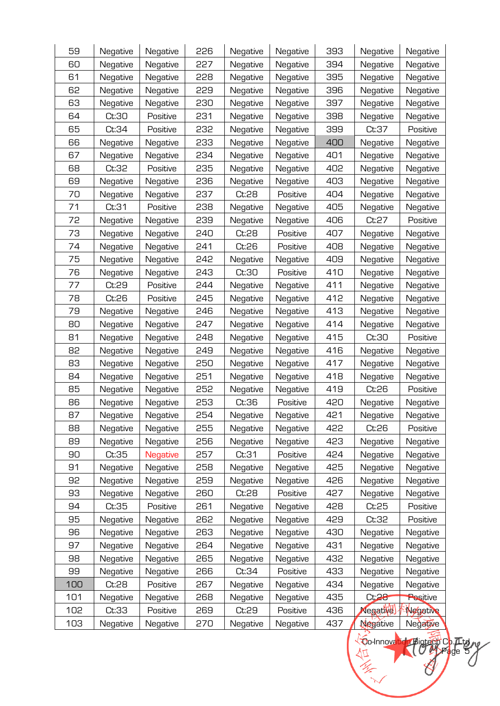| 59  | Negative | Negative        | 226 | Negative | Negative | 393 | Negative         | Negative |
|-----|----------|-----------------|-----|----------|----------|-----|------------------|----------|
| 60  | Negative | Negative        | 227 | Negative | Negative | 394 | Negative         | Negative |
| 61  | Negative | Negative        | 228 | Negative | Negative | 395 | Negative         | Negative |
| 62  | Negative | Negative        | 229 | Negative | Negative | 396 | Negative         | Negative |
| 63  | Negative | Negative        | 230 | Negative | Negative | 397 | Negative         | Negative |
| 64  | Ct:30    | Positive        | 231 | Negative | Negative | 398 | Negative         | Negative |
| 65  | Ct:34    | Positive        | 535 | Negative | Negative | 399 | Ct:37            | Positive |
| 66  | Negative | Negative        | 233 | Negative | Negative | 400 | Negative         | Negative |
| 67  | Negative | Negative        | 234 | Negative | Negative | 401 | Negative         | Negative |
| 68  | Ct:32    | Positive        | 235 | Negative | Negative | 402 | Negative         | Negative |
| 69  | Negative | Negative        | 236 | Negative | Negative | 403 | Negative         | Negative |
| 70  | Negative | Negative        | 237 | Ct:28    | Positive | 404 | Negative         | Negative |
| 71  | Ct:31    | Positive        | 238 | Negative | Negative | 405 | Negative         | Negative |
| 72  | Negative | Negative        | 239 | Negative | Negative | 406 | Ct:27            | Positive |
| 73  | Negative | Negative        | 240 | Ct:28    | Positive | 407 | Negative         | Negative |
| 74  | Negative | Negative        | 241 | Ct:26    | Positive | 408 | Negative         | Negative |
| 75  | Negative | Negative        | 242 | Negative | Negative | 409 | Negative         | Negative |
| 76  | Negative | Negative        | 243 | Ct:30    | Positive | 410 | Negative         | Negative |
| 77  | Ct:29    | Positive        | 244 | Negative | Negative | 411 | Negative         | Negative |
| 78  | Ct:26    | Positive        | 245 | Negative | Negative | 412 | Negative         | Negative |
| 79  | Negative | Negative        | 246 | Negative | Negative | 413 | Negative         | Negative |
| 80  | Negative | Negative        | 247 | Negative | Negative | 414 | Negative         | Negative |
| 81  | Negative | Negative        | 248 | Negative | Negative | 415 | Ct:30            | Positive |
| 82  | Negative | Negative        | 249 | Negative | Negative | 416 | Negative         | Negative |
| 83  | Negative | Negative        | 250 | Negative | Negative | 417 | Negative         | Negative |
| 84  | Negative | Negative        | 251 | Negative | Negative | 418 | Negative         | Negative |
| 85  | Negative | Negative        | 252 | Negative | Negative | 419 | Ct:26            | Positive |
| 86  | Negative | Negative        | 253 | Ct:36    | Positive | 420 | Negative         | Negative |
| 87  | Negative | Negative        | 254 | Negative | Negative | 421 | Negative         | Negative |
| 88  | Negative | Negative        | 255 | Negative | Negative | 422 | Ct:26            | Positive |
| 89  | Negative | Negative        | 256 | Negative | Negative | 423 | Negative         | Negative |
| 90  | Ct:35    | <b>Negative</b> | 257 | Ct:31    | Positive | 424 | Negative         | Negative |
| 91  | Negative | Negative        | 258 | Negative | Negative | 425 | Negative         | Negative |
| 92  | Negative | Negative        | 259 | Negative | Negative | 426 | Negative         | Negative |
| 93  | Negative | Negative        | 260 | Ct:28    | Positive | 427 | Negative         | Negative |
| 94  | Ct:35    | Positive        | 261 | Negative | Negative | 428 | Ct:25            | Positive |
| 95  | Negative | Negative        | 262 | Negative | Negative | 429 | Ct:32            | Positive |
| 96  | Negative | Negative        | 263 | Negative | Negative | 430 | Negative         | Negative |
| 97  | Negative | Negative        | 264 | Negative | Negative | 431 | Negative         | Negative |
| 98  | Negative | Negative        | 265 | Negative | Negative | 432 | Negative         | Negative |
| 99  | Negative | Negative        | 266 | Ct:34    | Positive | 433 | Negative         | Negative |
| 100 | Ct:28    | Positive        | 267 | Negative | Negative | 434 | Negative         | Negative |
| 101 | Negative | Negative        | 268 | Negative | Negative | 435 | Ct:28            | Positive |
| 102 | Ct:33    | Positive        | 269 | Ct:29    | Positive | 436 | Negative)        | Negative |
| 103 | Negative | Negative        | 270 | Negative | Negative | 437 | <b>Neg</b> ative | Negative |

**Co-Innovation Biotech Co., Ltd Page 5**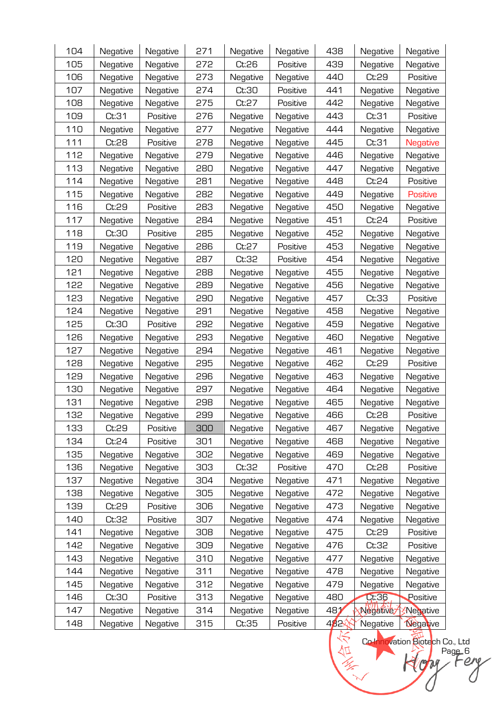| 104 | Negative | Negative | 271 | Negative | Negative | 438  | Negative        | Negative        |
|-----|----------|----------|-----|----------|----------|------|-----------------|-----------------|
| 105 | Negative | Negative | 272 | Ct:26    | Positive | 439  | Negative        | Negative        |
| 106 | Negative | Negative | 273 | Negative | Negative | 440  | Ct:29           | Positive        |
| 107 | Negative | Negative | 274 | Ct:30    | Positive | 441  | Negative        | Negative        |
| 108 | Negative | Negative | 275 | Ct:27    | Positive | 442  | Negative        | Negative        |
| 109 | Ct:31    | Positive | 276 | Negative | Negative | 443  | Ct:31           | Positive        |
| 110 | Negative | Negative | 277 | Negative | Negative | 444  | Negative        | Negative        |
| 111 | Ct:28    | Positive | 278 | Negative | Negative | 445  | Ct:31           | <b>Negative</b> |
| 112 | Negative | Negative | 279 | Negative | Negative | 446  | Negative        | Negative        |
| 113 | Negative | Negative | 280 | Negative | Negative | 447  | Negative        | Negative        |
| 114 | Negative | Negative | 281 | Negative | Negative | 448  | Ct:24           | Positive        |
| 115 | Negative | Negative | 282 | Negative | Negative | 449  | Negative        | Positive        |
| 116 | Ct:29    | Positive | 283 | Negative | Negative | 450  | Negative        | Negative        |
| 117 | Negative | Negative | 284 | Negative | Negative | 451  | Ct:24           | Positive        |
| 118 | Ct:30    | Positive | 285 | Negative | Negative | 452  | Negative        | Negative        |
| 119 | Negative | Negative | 286 | Ct:27    | Positive | 453  | Negative        | Negative        |
| 120 | Negative | Negative | 287 | Ct:32    | Positive | 454  | Negative        | Negative        |
| 121 | Negative | Negative | 288 | Negative | Negative | 455  | Negative        | Negative        |
| 122 | Negative | Negative | 289 | Negative | Negative | 456  | Negative        | Negative        |
| 123 | Negative | Negative | 290 | Negative | Negative | 457  | Ct:33           | Positive        |
| 124 | Negative | Negative | 291 | Negative | Negative | 458  | Negative        | Negative        |
| 125 | Ct:30    | Positive | 292 | Negative | Negative | 459  | Negative        | Negative        |
| 126 | Negative | Negative | 293 | Negative | Negative | 460  | Negative        | Negative        |
| 127 | Negative | Negative | 294 | Negative | Negative | 461  | Negative        | Negative        |
| 128 | Negative | Negative | 295 | Negative | Negative | 462  | Ct:29           | Positive        |
| 129 | Negative | Negative | 296 | Negative | Negative | 463  | Negative        | Negative        |
| 130 | Negative | Negative | 297 | Negative | Negative | 464  | Negative        | Negative        |
| 131 | Negative | Negative | 298 | Negative | Negative | 465  | Negative        | Negative        |
| 132 | Negative | Negative | 299 | Negative | Negative | 466  | Ct:28           | Positive        |
| 133 | Ct:29    | Positive | 300 | Negative | Negative | 467  | Negative        | Negative        |
| 134 | Ct:24    | Positive | 301 | Negative | Negative | 468  | Negative        | Negative        |
| 135 | Negative | Negative | 302 | Negative | Negative | 469  | Negative        | Negative        |
| 136 | Negative | Negative | 303 | Ct:32    | Positive | 470  | Ct:28           | Positive        |
| 137 | Negative | Negative | 304 | Negative | Negative | 471  | Negative        | Negative        |
| 138 | Negative | Negative | 305 | Negative | Negative | 472  | Negative        | Negative        |
| 139 | Ct:29    | Positive | 306 | Negative | Negative | 473  | Negative        | Negative        |
| 140 | Ct:32    | Positive | 307 | Negative | Negative | 474  | Negative        | Negative        |
| 141 | Negative | Negative | 308 | Negative | Negative | 475  | Ct:29           | Positive        |
| 142 | Negative | Negative | 309 | Negative | Negative | 476  | Ct:32           | Positive        |
| 143 | Negative | Negative | 310 | Negative | Negative | 477  | Negative        | Negative        |
| 144 | Negative | Negative | 311 | Negative | Negative | 478  | Negative        | Negative        |
| 145 | Negative | Negative | 312 | Negative | Negative | 479  | Negative        | Negative        |
| 146 | Ct:30    | Positive | 313 | Negative | Negative | 480  | Ct:36           | Positive        |
| 147 | Negative | Negative | 314 | Negative | Negative | 481  | <b>Négative</b> | Negative        |
| 148 | Negative | Negative | 315 | Ct:35    | Positive | 482∕ | Negative        | <b>Negative</b> |

**Co-Innovation Biotech Co., Ltd ALL ARE Page 6**